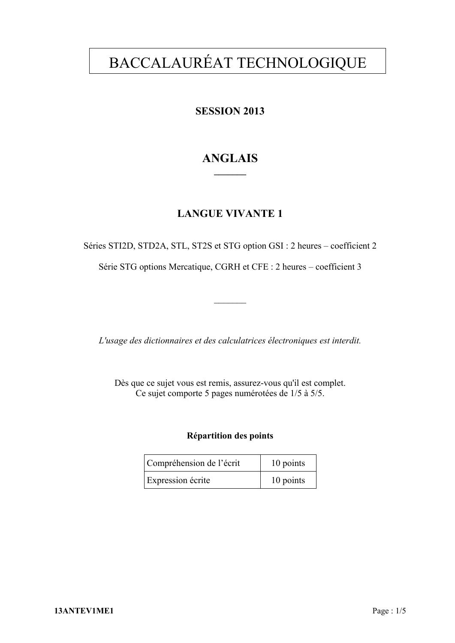# BACCALAURÉAT TECHNOLOGIQUE

## **SESSION 2013**

## **ANGLAIS \_\_\_\_\_\_\_**

## **LANGUE VIVANTE 1**

Séries STI2D, STD2A, STL, ST2S et STG option GSI : 2 heures – coefficient 2

Série STG options Mercatique, CGRH et CFE : 2 heures – coefficient 3

 $\frac{1}{2}$ 

*L'usage des dictionnaires et des calculatrices électroniques est interdit.* 

Dès que ce sujet vous est remis, assurez-vous qu'il est complet. Ce sujet comporte 5 pages numérotées de 1/5 à 5/5.

#### **Répartition des points**

| Compréhension de l'écrit | 10 points |
|--------------------------|-----------|
| Expression écrite        | 10 points |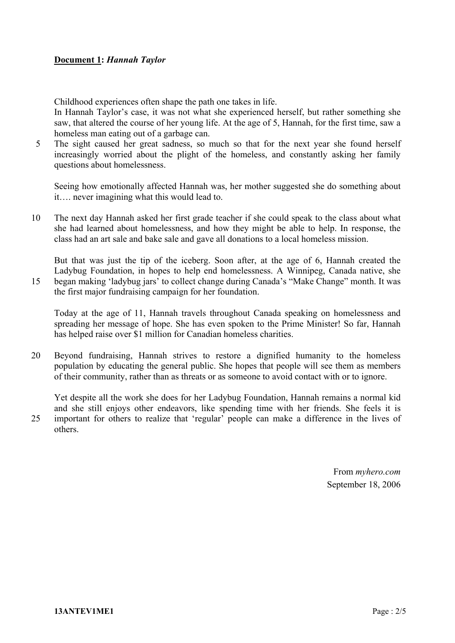#### **Document 1:** *Hannah Taylor*

Childhood experiences often shape the path one takes in life.

In Hannah Taylor's case, it was not what she experienced herself, but rather something she saw, that altered the course of her young life. At the age of 5, Hannah, for the first time, saw a homeless man eating out of a garbage can.

5 The sight caused her great sadness, so much so that for the next year she found herself increasingly worried about the plight of the homeless, and constantly asking her family questions about homelessness.

Seeing how emotionally affected Hannah was, her mother suggested she do something about it…. never imagining what this would lead to.

10 The next day Hannah asked her first grade teacher if she could speak to the class about what she had learned about homelessness, and how they might be able to help. In response, the class had an art sale and bake sale and gave all donations to a local homeless mission.

But that was just the tip of the iceberg. Soon after, at the age of 6, Hannah created the Ladybug Foundation, in hopes to help end homelessness. A Winnipeg, Canada native, she 15 began making 'ladybug jars' to collect change during Canada's "Make Change" month. It was

the first major fundraising campaign for her foundation.

Today at the age of 11, Hannah travels throughout Canada speaking on homelessness and spreading her message of hope. She has even spoken to the Prime Minister! So far, Hannah has helped raise over \$1 million for Canadian homeless charities.

20 Beyond fundraising, Hannah strives to restore a dignified humanity to the homeless population by educating the general public. She hopes that people will see them as members of their community, rather than as threats or as someone to avoid contact with or to ignore.

Yet despite all the work she does for her Ladybug Foundation, Hannah remains a normal kid and she still enjoys other endeavors, like spending time with her friends. She feels it is 25 important for others to realize that 'regular' people can make a difference in the lives of others.

> From *myhero.com* September 18, 2006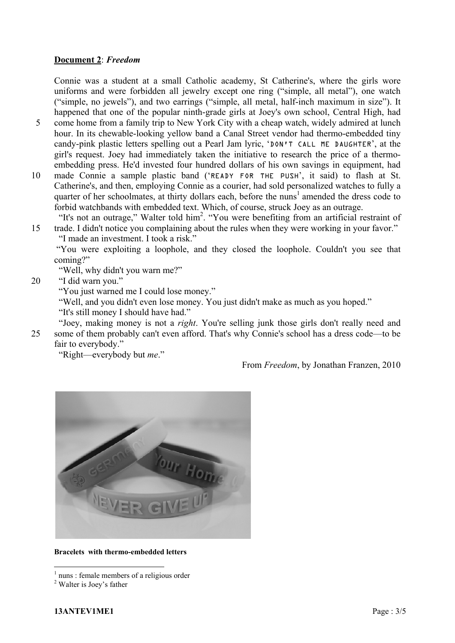#### **Document 2**: *Freedom*

Connie was a student at a small Catholic academy, St Catherine's, where the girls wore uniforms and were forbidden all jewelry except one ring ("simple, all metal"), one watch ("simple, no jewels"), and two earrings ("simple, all metal, half-inch maximum in size"). It happened that one of the popular ninth-grade girls at Joey's own school, Central High, had

- 5 come home from a family trip to New York City with a cheap watch, widely admired at lunch hour. In its chewable-looking yellow band a Canal Street vendor had thermo-embedded tiny candy-pink plastic letters spelling out a Pearl Jam lyric, 'DON'T CALL ME DAUGHTER', at the girl's request. Joey had immediately taken the initiative to research the price of a thermoembedding press. He'd invested four hundred dollars of his own savings in equipment, had
- 10 made Connie a sample plastic band ('READY FOR THE PUSH', it said) to flash at St. Catherine's, and then, employing Connie as a courier, had sold personalized watches to fully a quarter of her schoolmates, at thirty dollars each, before the nuns<sup>1</sup> amended the dress code to forbid watchbands with embedded text. Which, of course, struck Joey as an outrage.

"It's not an outrage," Walter told him<sup>2</sup>. "You were benefiting from an artificial restraint of 15 trade. I didn't notice you complaining about the rules when they were working in your favor."

"I made an investment. I took a risk."

 "You were exploiting a loophole, and they closed the loophole. Couldn't you see that coming?"

"Well, why didn't you warn me?"

20 "I did warn you."

"You just warned me I could lose money."

"Well, and you didn't even lose money. You just didn't make as much as you hoped."

"It's still money I should have had."

 "Joey, making money is not a *right*. You're selling junk those girls don't really need and 25 some of them probably can't even afford. That's why Connie's school has a dress code—to be fair to everybody."

"Right—everybody but *me*."

From *Freedom*, by Jonathan Franzen, 2010



#### **Bracelets with thermo-embedded letters**

<u>.</u>

<sup>1</sup> nuns : female members of a religious order

<sup>&</sup>lt;sup>2</sup> Walter is Joey's father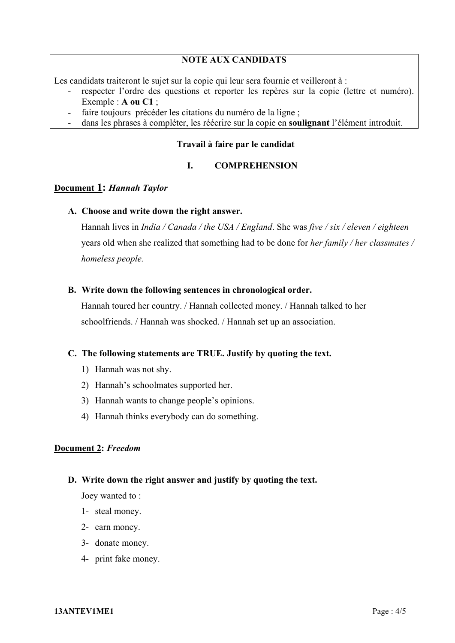#### **NOTE AUX CANDIDATS**

Les candidats traiteront le sujet sur la copie qui leur sera fournie et veilleront à :

- respecter l'ordre des questions et reporter les repères sur la copie (lettre et numéro). Exemple : **A ou C1** ;
- faire toujours précéder les citations du numéro de la ligne ;
- dans les phrases à compléter, les réécrire sur la copie en **soulignant** l'élément introduit.

#### **Travail à faire par le candidat**

#### **I. COMPREHENSION**

#### **Document 1:** *Hannah Taylor*

#### **A. Choose and write down the right answer.**

Hannah lives in *India / Canada / the USA / England*. She was *five / six / eleven / eighteen* years old when she realized that something had to be done for *her family / her classmates / homeless people.* 

#### **B. Write down the following sentences in chronological order.**

Hannah toured her country. / Hannah collected money. / Hannah talked to her schoolfriends. / Hannah was shocked. / Hannah set up an association.

#### **C. The following statements are TRUE. Justify by quoting the text.**

- 1) Hannah was not shy.
- 2) Hannah's schoolmates supported her.
- 3) Hannah wants to change people's opinions.
- 4) Hannah thinks everybody can do something.

#### **Document 2:** *Freedom*

#### **D. Write down the right answer and justify by quoting the text.**

Joey wanted to :

- 1- steal money.
- 2- earn money.
- 3- donate money.
- 4- print fake money.